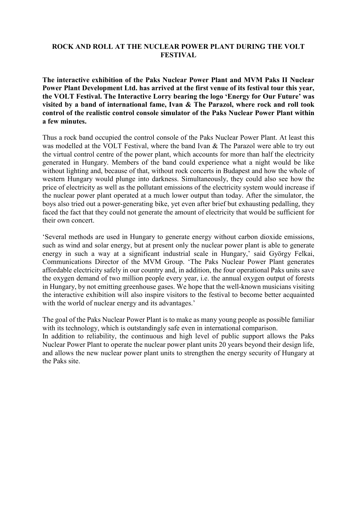## **ROCK AND ROLL AT THE NUCLEAR POWER PLANT DURING THE VOLT FESTIVAL**

**The interactive exhibition of the Paks Nuclear Power Plant and MVM Paks II Nuclear Power Plant Development Ltd. has arrived at the first venue of its festival tour this year, the VOLT Festival. The Interactive Lorry bearing the logo 'Energy for Our Future' was visited by a band of international fame, Ivan & The Parazol, where rock and roll took control of the realistic control console simulator of the Paks Nuclear Power Plant within a few minutes.**

Thus a rock band occupied the control console of the Paks Nuclear Power Plant. At least this was modelled at the VOLT Festival, where the band Ivan & The Parazol were able to try out the virtual control centre of the power plant, which accounts for more than half the electricity generated in Hungary. Members of the band could experience what a night would be like without lighting and, because of that, without rock concerts in Budapest and how the whole of western Hungary would plunge into darkness. Simultaneously, they could also see how the price of electricity as well as the pollutant emissions of the electricity system would increase if the nuclear power plant operated at a much lower output than today. After the simulator, the boys also tried out a power-generating bike, yet even after brief but exhausting pedalling, they faced the fact that they could not generate the amount of electricity that would be sufficient for their own concert.

'Several methods are used in Hungary to generate energy without carbon dioxide emissions, such as wind and solar energy, but at present only the nuclear power plant is able to generate energy in such a way at a significant industrial scale in Hungary,' said György Felkai, Communications Director of the MVM Group. 'The Paks Nuclear Power Plant generates affordable electricity safely in our country and, in addition, the four operational Paks units save the oxygen demand of two million people every year, i.e. the annual oxygen output of forests in Hungary, by not emitting greenhouse gases. We hope that the well-known musicians visiting the interactive exhibition will also inspire visitors to the festival to become better acquainted with the world of nuclear energy and its advantages.'

The goal of the Paks Nuclear Power Plant is to make as many young people as possible familiar with its technology, which is outstandingly safe even in international comparison.

In addition to reliability, the continuous and high level of public support allows the Paks Nuclear Power Plant to operate the nuclear power plant units 20 years beyond their design life, and allows the new nuclear power plant units to strengthen the energy security of Hungary at the Paks site.